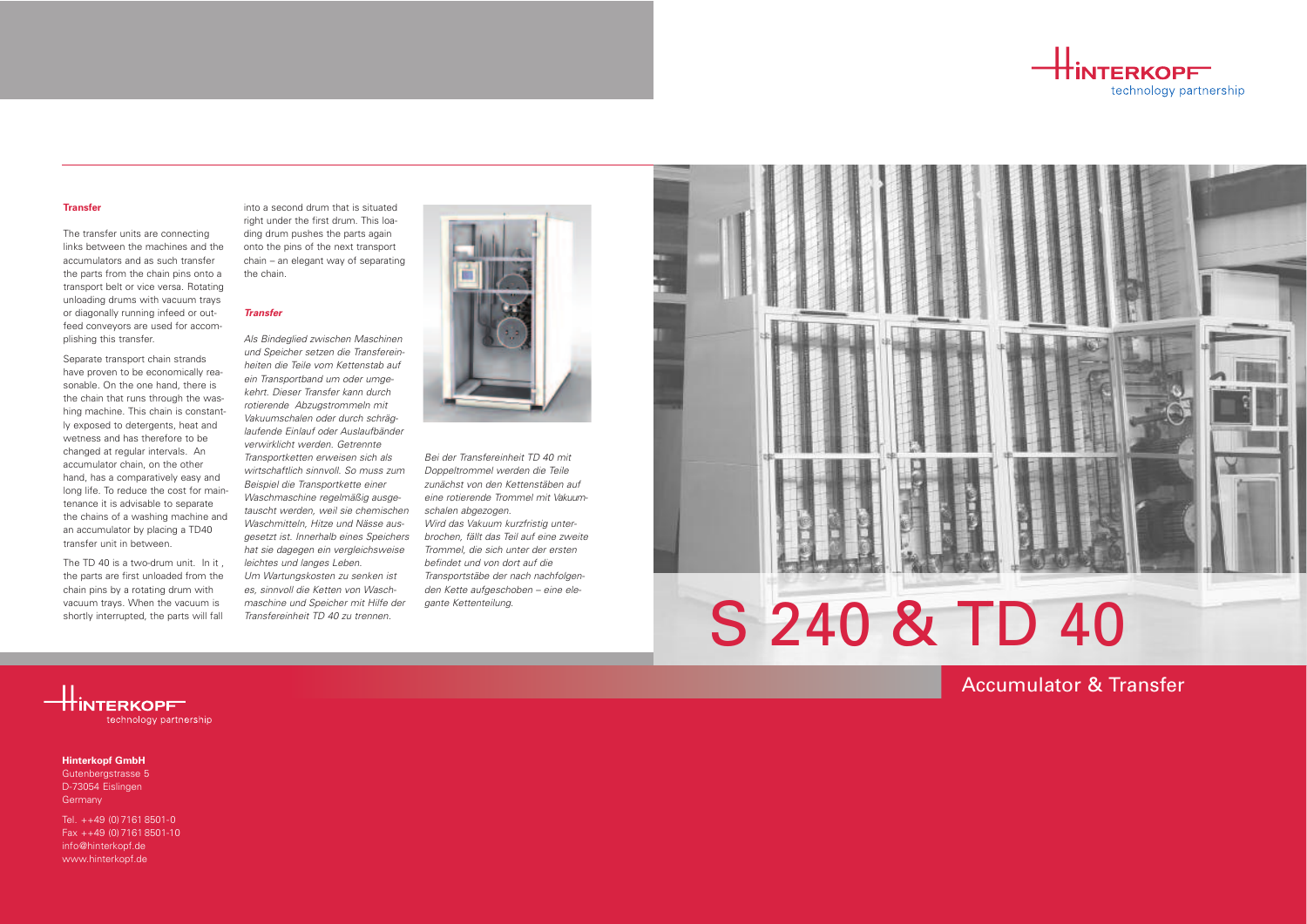

 $\pm$ interkopf technology partnership

# Accumulator & Transfer

Gutenbergstrasse 5 D-73054 Eislingen **Germany** 

# **Hinterkopf GmbH**

Tel. ++49 (0)7161 8501-0  $Fax + +49 (0)7161 8501-10$ info@hinterkopf.de www.hinterkopf.de



## **Transfer**

The transfer units are connecting links between the machines and the accumulators and as such transfer the parts from the chain pins onto a transport belt or vice versa. Rotating unloading drums with vacuum trays or diagonally running infeed or outfeed conveyors are used for accomplishing this transfer.

Separate transport chain strands have proven to be economically reasonable. On the one hand, there is the chain that runs through the washing machine. This chain is constantly exposed to detergents, heat and wetness and has therefore to be changed at regular intervals. An accumulator chain, on the other hand, has a comparatively easy and long life. To reduce the cost for maintenance it is advisable to separate the chains of a washing machine and an accumulator by placing a TD40 transfer unit in between.

The TD 40 is a two-drum unit. In it , the parts are first unloaded from the chain pins by a rotating drum with vacuum trays. When the vacuum is shortly interrupted, the parts will fall

into a second drum that is situated right under the first drum. This loading drum pushes the parts again onto the pins of the next transport chain – an elegant way of separating the chain.

## **Transfer**

Als Bindeglied zwischen Maschinen und Speicher setzen die Transfereinheiten die Teile vom Kettenstab auf ein Transportband um oder umgekehrt. Dieser Transfer kann durch rotierende Abzugstrommeln mit Vakuumschalen oder durch schräglaufende Einlauf oder Auslaufbänder verwirklicht werden. Getrennte Transportketten erweisen sich als wirtschaftlich sinnvoll. So muss zum Beispiel die Transportkette einer Waschmaschine regelmäßig ausgetauscht werden, weil sie chemischen Waschmitteln, Hitze und Nässe ausgesetzt ist. Innerhalb eines Speichers hat sie dagegen ein vergleichsweise leichtes und langes Leben.

Um Wartungskosten zu senken ist es, sinnvoll die Ketten von Waschmaschine und Speicher mit Hilfe der Transfereinheit TD 40 zu trennen.



Bei der Transfereinheit TD 40 mit Doppeltrommel werden die Teile zunächst von den Kettenstäben auf eine rotierende Trommel mit Vakuumschalen abgezogen.

Wird das Vakuum kurzfristig unterbrochen, fällt das Teil auf eine zweite Trommel, die sich unter der ersten befindet und von dort auf die Transportstäbe der nach nachfolgenden Kette aufgeschoben – eine elegante Kettenteilung.